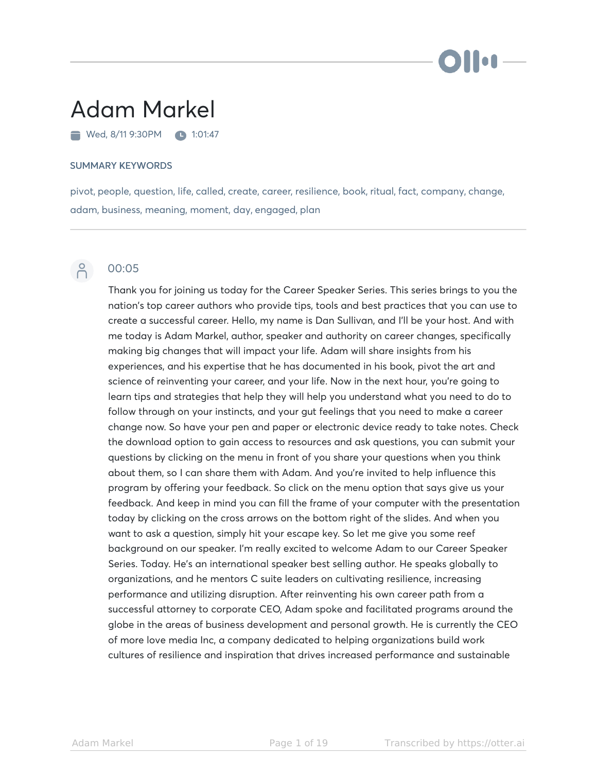# i i oa

# Adam Markel

Wed, 8/11 9:30 PM 1:01:47

#### SUMMARY KEYWORDS

pivot, people, question, life, called, create, career, resilience, book, ritual, fact, company, change, adam, business, meaning, moment, day, engaged, plan



### $\beta$  00:05

Thank you for joining us today for the Career Speaker Series. This series brings to you the nation's top career authors who provide tips, tools and best practices that you can use to create a successful career. Hello, my name is Dan Sullivan, and I'll be your host. And with me today is Adam Markel, author, speaker and authority on career changes, specifically making big changes that will impact your life. Adam will share insights from his experiences, and his expertise that he has documented in his book, pivot the art and science of reinventing your career, and your life. Now in the next hour, you're going to learn tips and strategies that help they will help you understand what you need to do to follow through on your instincts, and your gut feelings that you need to make a career change now. So have your pen and paper or electronic device ready to take notes. Check the download option to gain access to resources and ask questions, you can submit your questions by clicking on the menu in front of you share your questions when you think about them, so I can share them with Adam. And you're invited to help influence this program by offering your feedback. So click on the menu option that says give us your feedback. And keep in mind you can fill the frame of your computer with the presentation today by clicking on the cross arrows on the bottom right of the slides. And when you want to ask a question, simply hit your escape key. So let me give you some reef background on our speaker. I'm really excited to welcome Adam to our Career Speaker Series. Today. He's an international speaker best selling author. He speaks globally to organizations, and he mentors C suite leaders on cultivating resilience, increasing performance and utilizing disruption. After reinventing his own career path from a successful attorney to corporate CEO, Adam spoke and facilitated programs around the globe in the areas of business development and personal growth. He is currently the CEO of more love media Inc, a company dedicated to helping organizations build work cultures of resilience and inspiration that drives increased performance and sustainable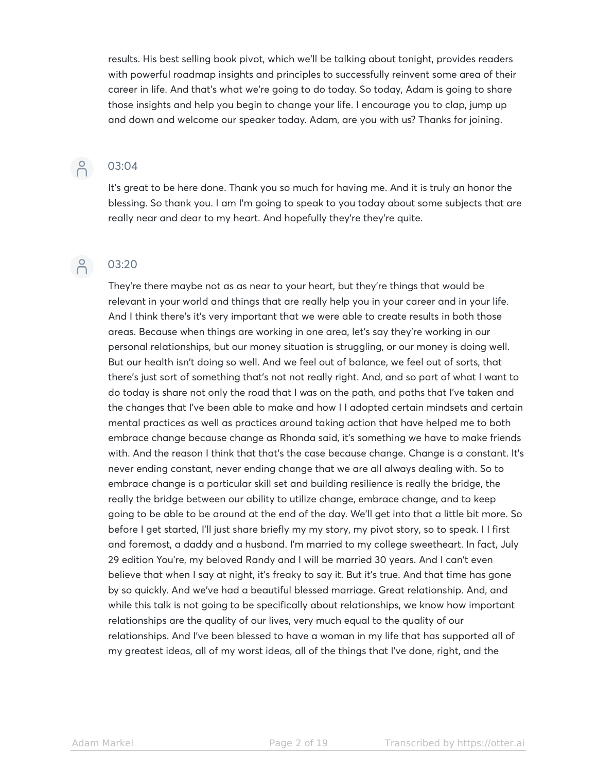results. His best selling book pivot, which we'll be talking about tonight, provides readers with powerful roadmap insights and principles to successfully reinvent some area of their career in life. And that's what we're going to do today. So today, Adam is going to share those insights and help you begin to change your life. I encourage you to clap, jump up and down and welcome our speaker today. Adam, are you with us? Thanks for joining.

#### 03:04

It's great to be here done. Thank you so much for having me. And it is truly an honor the blessing. So thank you. I am I'm going to speak to you today about some subjects that are really near and dear to my heart. And hopefully they're they're quite.

#### $\beta$ 03:20

They're there maybe not as as near to your heart, but they're things that would be relevant in your world and things that are really help you in your career and in your life. And I think there's it's very important that we were able to create results in both those areas. Because when things are working in one area, let's say they're working in our personal relationships, but our money situation is struggling, or our money is doing well. But our health isn't doing so well. And we feel out of balance, we feel out of sorts, that there's just sort of something that's not not really right. And, and so part of what I want to do today is share not only the road that I was on the path, and paths that I've taken and the changes that I've been able to make and how I I adopted certain mindsets and certain mental practices as well as practices around taking action that have helped me to both embrace change because change as Rhonda said, it's something we have to make friends with. And the reason I think that that's the case because change. Change is a constant. It's never ending constant, never ending change that we are all always dealing with. So to embrace change is a particular skill set and building resilience is really the bridge, the really the bridge between our ability to utilize change, embrace change, and to keep going to be able to be around at the end of the day. We'll get into that a little bit more. So before I get started, I'll just share briefly my my story, my pivot story, so to speak. I I first and foremost, a daddy and a husband. I'm married to my college sweetheart. In fact, July 29 edition You're, my beloved Randy and I will be married 30 years. And I can't even believe that when I say at night, it's freaky to say it. But it's true. And that time has gone by so quickly. And we've had a beautiful blessed marriage. Great relationship. And, and while this talk is not going to be specifically about relationships, we know how important relationships are the quality of our lives, very much equal to the quality of our relationships. And I've been blessed to have a woman in my life that has supported all of my greatest ideas, all of my worst ideas, all of the things that I've done, right, and the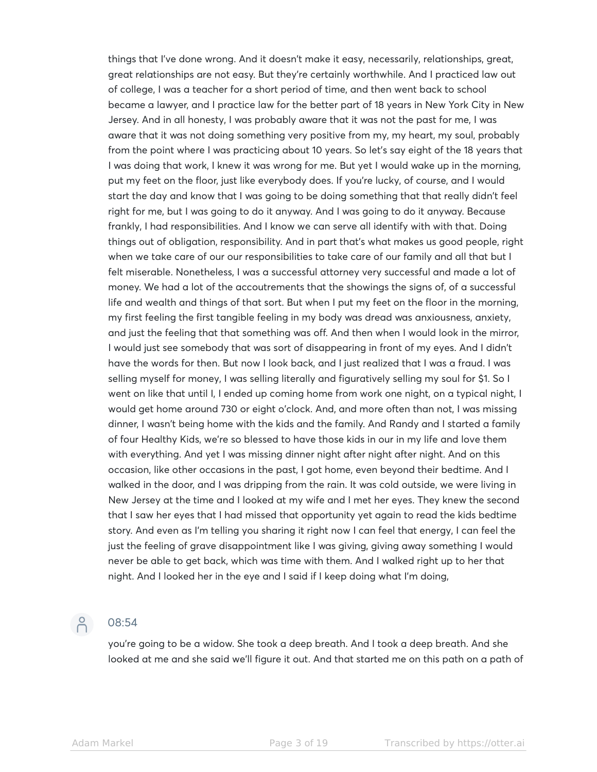things that I've done wrong. And it doesn't make it easy, necessarily, relationships, great, great relationships are not easy. But they're certainly worthwhile. And I practiced law out of college, I was a teacher for a short period of time, and then went back to school became a lawyer, and I practice law for the better part of 18 years in New York City in New Jersey. And in all honesty, I was probably aware that it was not the past for me, I was aware that it was not doing something very positive from my, my heart, my soul, probably from the point where I was practicing about 10 years. So let's say eight of the 18 years that I was doing that work, I knew it was wrong for me. But yet I would wake up in the morning, put my feet on the floor, just like everybody does. If you're lucky, of course, and I would start the day and know that I was going to be doing something that that really didn't feel right for me, but I was going to do it anyway. And I was going to do it anyway. Because frankly, I had responsibilities. And I know we can serve all identify with with that. Doing things out of obligation, responsibility. And in part that's what makes us good people, right when we take care of our our responsibilities to take care of our family and all that but I felt miserable. Nonetheless, I was a successful attorney very successful and made a lot of money. We had a lot of the accoutrements that the showings the signs of, of a successful life and wealth and things of that sort. But when I put my feet on the floor in the morning, my first feeling the first tangible feeling in my body was dread was anxiousness, anxiety, and just the feeling that that something was off. And then when I would look in the mirror, I would just see somebody that was sort of disappearing in front of my eyes. And I didn't have the words for then. But now I look back, and I just realized that I was a fraud. I was selling myself for money, I was selling literally and figuratively selling my soul for \$1. So I went on like that until I, I ended up coming home from work one night, on a typical night, I would get home around 730 or eight o'clock. And, and more often than not, I was missing dinner, I wasn't being home with the kids and the family. And Randy and I started a family of four Healthy Kids, we're so blessed to have those kids in our in my life and love them with everything. And yet I was missing dinner night after night after night. And on this occasion, like other occasions in the past, I got home, even beyond their bedtime. And I walked in the door, and I was dripping from the rain. It was cold outside, we were living in New Jersey at the time and I looked at my wife and I met her eyes. They knew the second that I saw her eyes that I had missed that opportunity yet again to read the kids bedtime story. And even as I'm telling you sharing it right now I can feel that energy, I can feel the just the feeling of grave disappointment like I was giving, giving away something I would never be able to get back, which was time with them. And I walked right up to her that night. And I looked her in the eye and I said if I keep doing what I'm doing,

# $\bigcap$

#### 08:54

you're going to be a widow. She took a deep breath. And I took a deep breath. And she looked at me and she said we'll figure it out. And that started me on this path on a path of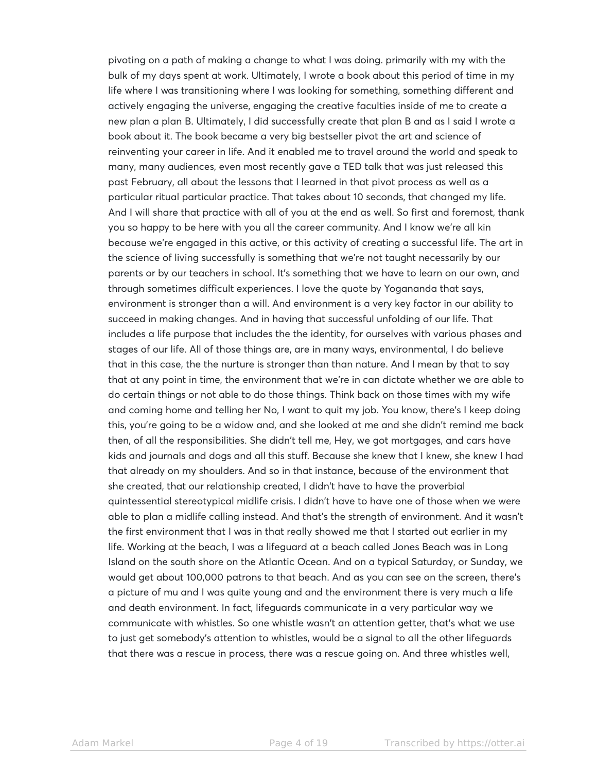pivoting on a path of making a change to what I was doing. primarily with my with the bulk of my days spent at work. Ultimately, I wrote a book about this period of time in my life where I was transitioning where I was looking for something, something different and actively engaging the universe, engaging the creative faculties inside of me to create a new plan a plan B. Ultimately, I did successfully create that plan B and as I said I wrote a book about it. The book became a very big bestseller pivot the art and science of reinventing your career in life. And it enabled me to travel around the world and speak to many, many audiences, even most recently gave a TED talk that was just released this past February, all about the lessons that I learned in that pivot process as well as a particular ritual particular practice. That takes about 10 seconds, that changed my life. And I will share that practice with all of you at the end as well. So first and foremost, thank you so happy to be here with you all the career community. And I know we're all kin because we're engaged in this active, or this activity of creating a successful life. The art in the science of living successfully is something that we're not taught necessarily by our parents or by our teachers in school. It's something that we have to learn on our own, and through sometimes difficult experiences. I love the quote by Yogananda that says, environment is stronger than a will. And environment is a very key factor in our ability to succeed in making changes. And in having that successful unfolding of our life. That includes a life purpose that includes the the identity, for ourselves with various phases and stages of our life. All of those things are, are in many ways, environmental, I do believe that in this case, the the nurture is stronger than than nature. And I mean by that to say that at any point in time, the environment that we're in can dictate whether we are able to do certain things or not able to do those things. Think back on those times with my wife and coming home and telling her No, I want to quit my job. You know, there's I keep doing this, you're going to be a widow and, and she looked at me and she didn't remind me back then, of all the responsibilities. She didn't tell me, Hey, we got mortgages, and cars have kids and journals and dogs and all this stuff. Because she knew that I knew, she knew I had that already on my shoulders. And so in that instance, because of the environment that she created, that our relationship created, I didn't have to have the proverbial quintessential stereotypical midlife crisis. I didn't have to have one of those when we were able to plan a midlife calling instead. And that's the strength of environment. And it wasn't the first environment that I was in that really showed me that I started out earlier in my life. Working at the beach, I was a lifeguard at a beach called Jones Beach was in Long Island on the south shore on the Atlantic Ocean. And on a typical Saturday, or Sunday, we would get about 100,000 patrons to that beach. And as you can see on the screen, there's a picture of mu and I was quite young and and the environment there is very much a life and death environment. In fact, lifeguards communicate in a very particular way we communicate with whistles. So one whistle wasn't an attention getter, that's what we use to just get somebody's attention to whistles, would be a signal to all the other lifeguards that there was a rescue in process, there was a rescue going on. And three whistles well,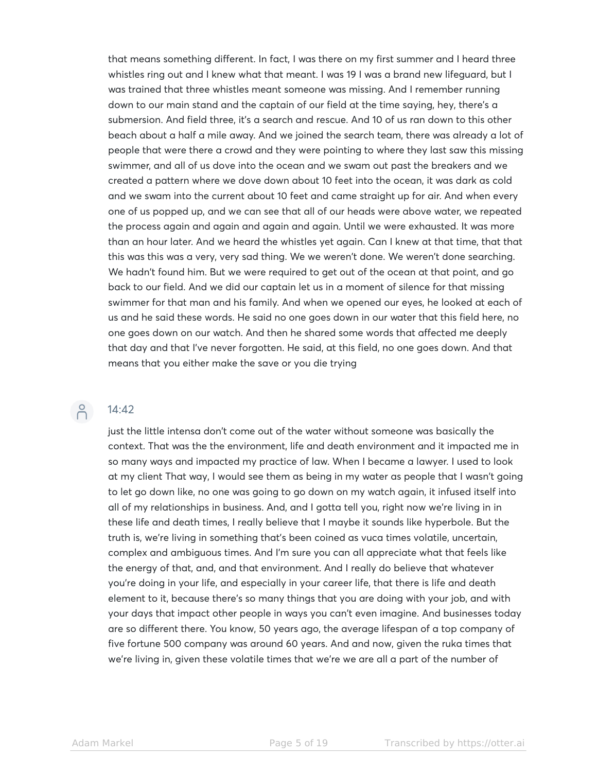that means something different. In fact, I was there on my first summer and I heard three whistles ring out and I knew what that meant. I was 19 I was a brand new lifeguard, but I was trained that three whistles meant someone was missing. And I remember running down to our main stand and the captain of our field at the time saying, hey, there's a submersion. And field three, it's a search and rescue. And 10 of us ran down to this other beach about a half a mile away. And we joined the search team, there was already a lot of people that were there a crowd and they were pointing to where they last saw this missing swimmer, and all of us dove into the ocean and we swam out past the breakers and we created a pattern where we dove down about 10 feet into the ocean, it was dark as cold and we swam into the current about 10 feet and came straight up for air. And when every one of us popped up, and we can see that all of our heads were above water, we repeated the process again and again and again and again. Until we were exhausted. It was more than an hour later. And we heard the whistles yet again. Can I knew at that time, that that this was this was a very, very sad thing. We we weren't done. We weren't done searching. We hadn't found him. But we were required to get out of the ocean at that point, and go back to our field. And we did our captain let us in a moment of silence for that missing swimmer for that man and his family. And when we opened our eyes, he looked at each of us and he said these words. He said no one goes down in our water that this field here, no one goes down on our watch. And then he shared some words that affected me deeply that day and that I've never forgotten. He said, at this field, no one goes down. And that means that you either make the save or you die trying

## P 14:42

just the little intensa don't come out of the water without someone was basically the context. That was the the environment, life and death environment and it impacted me in so many ways and impacted my practice of law. When I became a lawyer. I used to look at my client That way, I would see them as being in my water as people that I wasn't going to let go down like, no one was going to go down on my watch again, it infused itself into all of my relationships in business. And, and I gotta tell you, right now we're living in in these life and death times, I really believe that I maybe it sounds like hyperbole. But the truth is, we're living in something that's been coined as vuca times volatile, uncertain, complex and ambiguous times. And I'm sure you can all appreciate what that feels like the energy of that, and, and that environment. And I really do believe that whatever you're doing in your life, and especially in your career life, that there is life and death element to it, because there's so many things that you are doing with your job, and with your days that impact other people in ways you can't even imagine. And businesses today are so different there. You know, 50 years ago, the average lifespan of a top company of five fortune 500 company was around 60 years. And and now, given the ruka times that we're living in, given these volatile times that we're we are all a part of the number of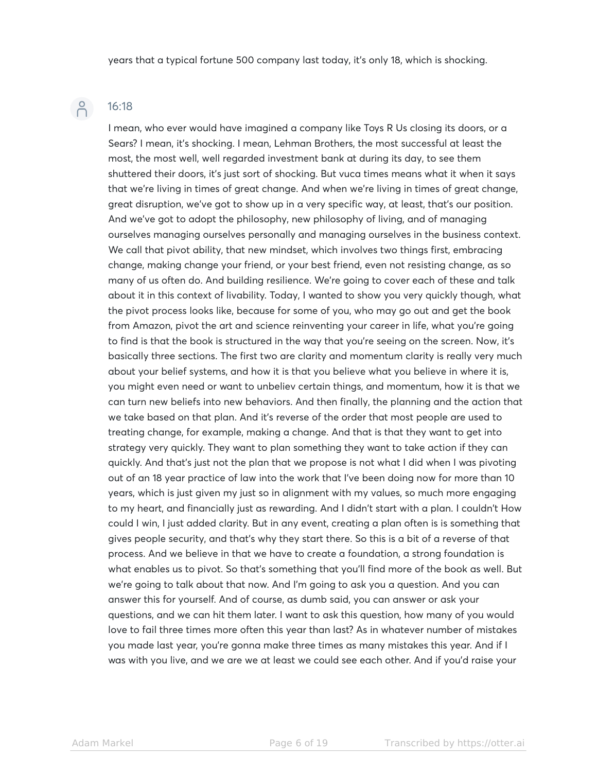## $\beta$

### 16:18

I mean, who ever would have imagined a company like Toys R Us closing its doors, or a Sears? I mean, it's shocking. I mean, Lehman Brothers, the most successful at least the most, the most well, well regarded investment bank at during its day, to see them shuttered their doors, it's just sort of shocking. But vuca times means what it when it says that we're living in times of great change. And when we're living in times of great change, great disruption, we've got to show up in a very specific way, at least, that's our position. And we've got to adopt the philosophy, new philosophy of living, and of managing ourselves managing ourselves personally and managing ourselves in the business context. We call that pivot ability, that new mindset, which involves two things first, embracing change, making change your friend, or your best friend, even not resisting change, as so many of us often do. And building resilience. We're going to cover each of these and talk about it in this context of livability. Today, I wanted to show you very quickly though, what the pivot process looks like, because for some of you, who may go out and get the book from Amazon, pivot the art and science reinventing your career in life, what you're going to find is that the book is structured in the way that you're seeing on the screen. Now, it's basically three sections. The first two are clarity and momentum clarity is really very much about your belief systems, and how it is that you believe what you believe in where it is, you might even need or want to unbeliev certain things, and momentum, how it is that we can turn new beliefs into new behaviors. And then finally, the planning and the action that we take based on that plan. And it's reverse of the order that most people are used to treating change, for example, making a change. And that is that they want to get into strategy very quickly. They want to plan something they want to take action if they can quickly. And that's just not the plan that we propose is not what I did when I was pivoting out of an 18 year practice of law into the work that I've been doing now for more than 10 years, which is just given my just so in alignment with my values, so much more engaging to my heart, and financially just as rewarding. And I didn't start with a plan. I couldn't How could I win, I just added clarity. But in any event, creating a plan often is is something that gives people security, and that's why they start there. So this is a bit of a reverse of that process. And we believe in that we have to create a foundation, a strong foundation is what enables us to pivot. So that's something that you'll find more of the book as well. But we're going to talk about that now. And I'm going to ask you a question. And you can answer this for yourself. And of course, as dumb said, you can answer or ask your questions, and we can hit them later. I want to ask this question, how many of you would love to fail three times more often this year than last? As in whatever number of mistakes you made last year, you're gonna make three times as many mistakes this year. And if I was with you live, and we are we at least we could see each other. And if you'd raise your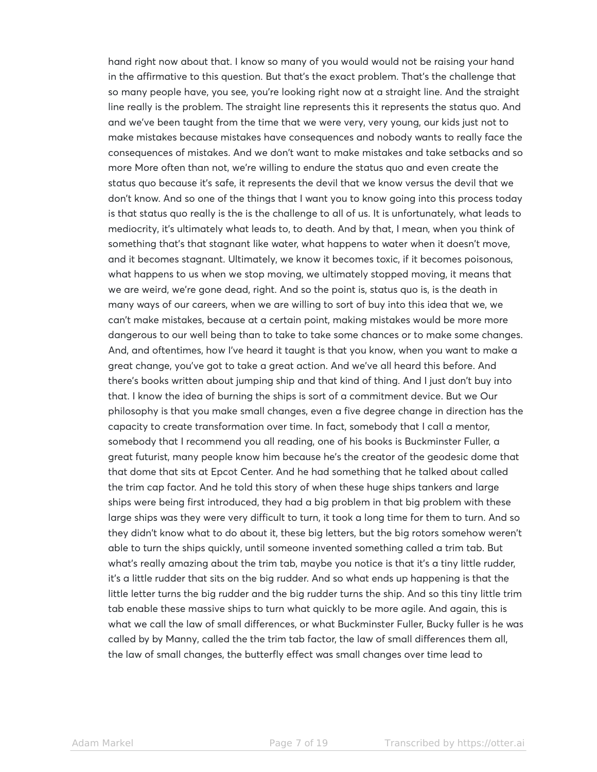hand right now about that. I know so many of you would would not be raising your hand in the affirmative to this question. But that's the exact problem. That's the challenge that so many people have, you see, you're looking right now at a straight line. And the straight line really is the problem. The straight line represents this it represents the status quo. And and we've been taught from the time that we were very, very young, our kids just not to make mistakes because mistakes have consequences and nobody wants to really face the consequences of mistakes. And we don't want to make mistakes and take setbacks and so more More often than not, we're willing to endure the status quo and even create the status quo because it's safe, it represents the devil that we know versus the devil that we don't know. And so one of the things that I want you to know going into this process today is that status quo really is the is the challenge to all of us. It is unfortunately, what leads to mediocrity, it's ultimately what leads to, to death. And by that, I mean, when you think of something that's that stagnant like water, what happens to water when it doesn't move, and it becomes stagnant. Ultimately, we know it becomes toxic, if it becomes poisonous, what happens to us when we stop moving, we ultimately stopped moving, it means that we are weird, we're gone dead, right. And so the point is, status quo is, is the death in many ways of our careers, when we are willing to sort of buy into this idea that we, we can't make mistakes, because at a certain point, making mistakes would be more more dangerous to our well being than to take to take some chances or to make some changes. And, and oftentimes, how I've heard it taught is that you know, when you want to make a great change, you've got to take a great action. And we've all heard this before. And there's books written about jumping ship and that kind of thing. And I just don't buy into that. I know the idea of burning the ships is sort of a commitment device. But we Our philosophy is that you make small changes, even a five degree change in direction has the capacity to create transformation over time. In fact, somebody that I call a mentor, somebody that I recommend you all reading, one of his books is Buckminster Fuller, a great futurist, many people know him because he's the creator of the geodesic dome that that dome that sits at Epcot Center. And he had something that he talked about called the trim cap factor. And he told this story of when these huge ships tankers and large ships were being first introduced, they had a big problem in that big problem with these large ships was they were very difficult to turn, it took a long time for them to turn. And so they didn't know what to do about it, these big letters, but the big rotors somehow weren't able to turn the ships quickly, until someone invented something called a trim tab. But what's really amazing about the trim tab, maybe you notice is that it's a tiny little rudder, it's a little rudder that sits on the big rudder. And so what ends up happening is that the little letter turns the big rudder and the big rudder turns the ship. And so this tiny little trim tab enable these massive ships to turn what quickly to be more agile. And again, this is what we call the law of small differences, or what Buckminster Fuller, Bucky fuller is he was called by by Manny, called the the trim tab factor, the law of small differences them all, the law of small changes, the butterfly effect was small changes over time lead to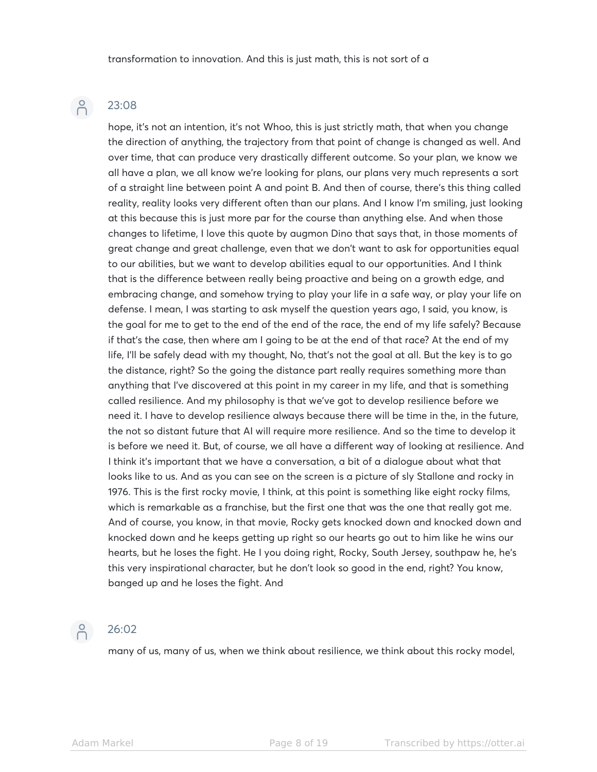# $\beta$

#### 23:08

hope, it's not an intention, it's not Whoo, this is just strictly math, that when you change the direction of anything, the trajectory from that point of change is changed as well. And over time, that can produce very drastically different outcome. So your plan, we know we all have a plan, we all know we're looking for plans, our plans very much represents a sort of a straight line between point A and point B. And then of course, there's this thing called reality, reality looks very different often than our plans. And I know I'm smiling, just looking at this because this is just more par for the course than anything else. And when those changes to lifetime, I love this quote by augmon Dino that says that, in those moments of great change and great challenge, even that we don't want to ask for opportunities equal to our abilities, but we want to develop abilities equal to our opportunities. And I think that is the difference between really being proactive and being on a growth edge, and embracing change, and somehow trying to play your life in a safe way, or play your life on defense. I mean, I was starting to ask myself the question years ago, I said, you know, is the goal for me to get to the end of the end of the race, the end of my life safely? Because if that's the case, then where am I going to be at the end of that race? At the end of my life, I'll be safely dead with my thought, No, that's not the goal at all. But the key is to go the distance, right? So the going the distance part really requires something more than anything that I've discovered at this point in my career in my life, and that is something called resilience. And my philosophy is that we've got to develop resilience before we need it. I have to develop resilience always because there will be time in the, in the future, the not so distant future that AI will require more resilience. And so the time to develop it is before we need it. But, of course, we all have a different way of looking at resilience. And I think it's important that we have a conversation, a bit of a dialogue about what that looks like to us. And as you can see on the screen is a picture of sly Stallone and rocky in 1976. This is the first rocky movie, I think, at this point is something like eight rocky films, which is remarkable as a franchise, but the first one that was the one that really got me. And of course, you know, in that movie, Rocky gets knocked down and knocked down and knocked down and he keeps getting up right so our hearts go out to him like he wins our hearts, but he loses the fight. He I you doing right, Rocky, South Jersey, southpaw he, he's this very inspirational character, but he don't look so good in the end, right? You know, banged up and he loses the fight. And

## $P$

#### 26:02

many of us, many of us, when we think about resilience, we think about this rocky model,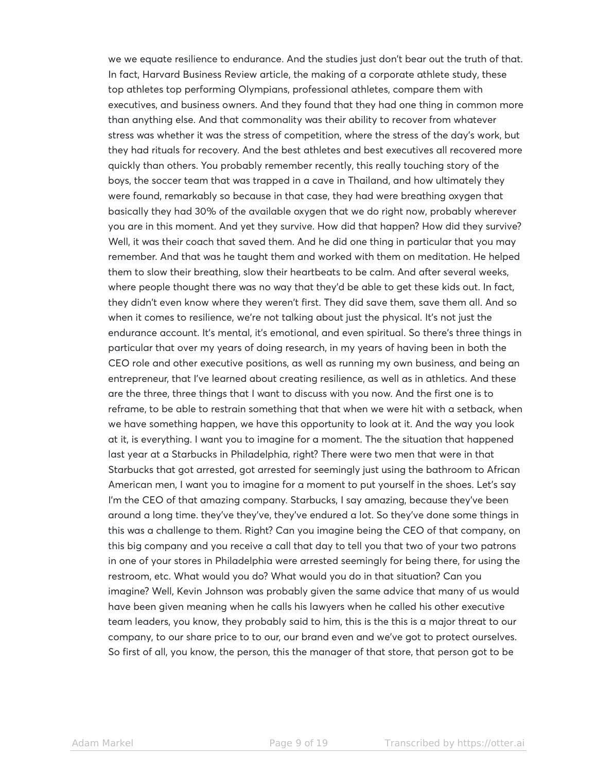we we equate resilience to endurance. And the studies just don't bear out the truth of that. In fact, Harvard Business Review article, the making of a corporate athlete study, these top athletes top performing Olympians, professional athletes, compare them with executives, and business owners. And they found that they had one thing in common more than anything else. And that commonality was their ability to recover from whatever stress was whether it was the stress of competition, where the stress of the day's work, but they had rituals for recovery. And the best athletes and best executives all recovered more quickly than others. You probably remember recently, this really touching story of the boys, the soccer team that was trapped in a cave in Thailand, and how ultimately they were found, remarkably so because in that case, they had were breathing oxygen that basically they had 30% of the available oxygen that we do right now, probably wherever you are in this moment. And yet they survive. How did that happen? How did they survive? Well, it was their coach that saved them. And he did one thing in particular that you may remember. And that was he taught them and worked with them on meditation. He helped them to slow their breathing, slow their heartbeats to be calm. And after several weeks, where people thought there was no way that they'd be able to get these kids out. In fact, they didn't even know where they weren't first. They did save them, save them all. And so when it comes to resilience, we're not talking about just the physical. It's not just the endurance account. It's mental, it's emotional, and even spiritual. So there's three things in particular that over my years of doing research, in my years of having been in both the CEO role and other executive positions, as well as running my own business, and being an entrepreneur, that I've learned about creating resilience, as well as in athletics. And these are the three, three things that I want to discuss with you now. And the first one is to reframe, to be able to restrain something that that when we were hit with a setback, when we have something happen, we have this opportunity to look at it. And the way you look at it, is everything. I want you to imagine for a moment. The the situation that happened last year at a Starbucks in Philadelphia, right? There were two men that were in that Starbucks that got arrested, got arrested for seemingly just using the bathroom to African American men, I want you to imagine for a moment to put yourself in the shoes. Let's say I'm the CEO of that amazing company. Starbucks, I say amazing, because they've been around a long time. they've they've, they've endured a lot. So they've done some things in this was a challenge to them. Right? Can you imagine being the CEO of that company, on this big company and you receive a call that day to tell you that two of your two patrons in one of your stores in Philadelphia were arrested seemingly for being there, for using the restroom, etc. What would you do? What would you do in that situation? Can you imagine? Well, Kevin Johnson was probably given the same advice that many of us would have been given meaning when he calls his lawyers when he called his other executive team leaders, you know, they probably said to him, this is the this is a major threat to our company, to our share price to to our, our brand even and we've got to protect ourselves. So first of all, you know, the person, this the manager of that store, that person got to be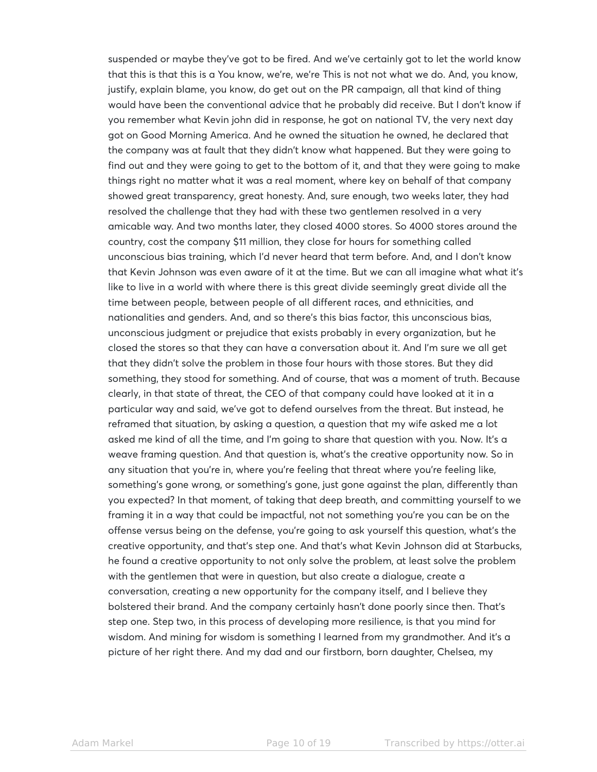suspended or maybe they've got to be fired. And we've certainly got to let the world know that this is that this is a You know, we're, we're This is not not what we do. And, you know, justify, explain blame, you know, do get out on the PR campaign, all that kind of thing would have been the conventional advice that he probably did receive. But I don't know if you remember what Kevin john did in response, he got on national TV, the very next day got on Good Morning America. And he owned the situation he owned, he declared that the company was at fault that they didn't know what happened. But they were going to find out and they were going to get to the bottom of it, and that they were going to make things right no matter what it was a real moment, where key on behalf of that company showed great transparency, great honesty. And, sure enough, two weeks later, they had resolved the challenge that they had with these two gentlemen resolved in a very amicable way. And two months later, they closed 4000 stores. So 4000 stores around the country, cost the company \$11 million, they close for hours for something called unconscious bias training, which I'd never heard that term before. And, and I don't know that Kevin Johnson was even aware of it at the time. But we can all imagine what what it's like to live in a world with where there is this great divide seemingly great divide all the time between people, between people of all different races, and ethnicities, and nationalities and genders. And, and so there's this bias factor, this unconscious bias, unconscious judgment or prejudice that exists probably in every organization, but he closed the stores so that they can have a conversation about it. And I'm sure we all get that they didn't solve the problem in those four hours with those stores. But they did something, they stood for something. And of course, that was a moment of truth. Because clearly, in that state of threat, the CEO of that company could have looked at it in a particular way and said, we've got to defend ourselves from the threat. But instead, he reframed that situation, by asking a question, a question that my wife asked me a lot asked me kind of all the time, and I'm going to share that question with you. Now. It's a weave framing question. And that question is, what's the creative opportunity now. So in any situation that you're in, where you're feeling that threat where you're feeling like, something's gone wrong, or something's gone, just gone against the plan, differently than you expected? In that moment, of taking that deep breath, and committing yourself to we framing it in a way that could be impactful, not not something you're you can be on the offense versus being on the defense, you're going to ask yourself this question, what's the creative opportunity, and that's step one. And that's what Kevin Johnson did at Starbucks, he found a creative opportunity to not only solve the problem, at least solve the problem with the gentlemen that were in question, but also create a dialogue, create a conversation, creating a new opportunity for the company itself, and I believe they bolstered their brand. And the company certainly hasn't done poorly since then. That's step one. Step two, in this process of developing more resilience, is that you mind for wisdom. And mining for wisdom is something I learned from my grandmother. And it's a picture of her right there. And my dad and our firstborn, born daughter, Chelsea, my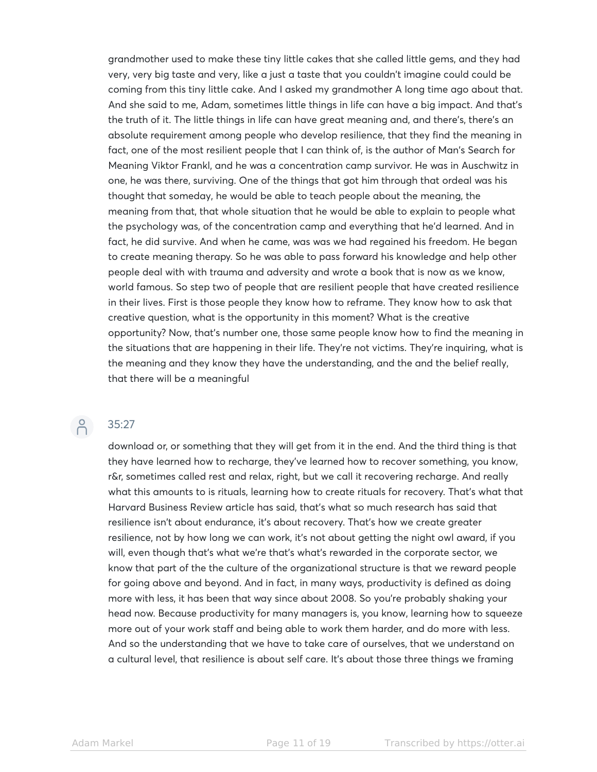grandmother used to make these tiny little cakes that she called little gems, and they had very, very big taste and very, like a just a taste that you couldn't imagine could could be coming from this tiny little cake. And I asked my grandmother A long time ago about that. And she said to me, Adam, sometimes little things in life can have a big impact. And that's the truth of it. The little things in life can have great meaning and, and there's, there's an absolute requirement among people who develop resilience, that they find the meaning in fact, one of the most resilient people that I can think of, is the author of Man's Search for Meaning Viktor Frankl, and he was a concentration camp survivor. He was in Auschwitz in one, he was there, surviving. One of the things that got him through that ordeal was his thought that someday, he would be able to teach people about the meaning, the meaning from that, that whole situation that he would be able to explain to people what the psychology was, of the concentration camp and everything that he'd learned. And in fact, he did survive. And when he came, was was we had regained his freedom. He began to create meaning therapy. So he was able to pass forward his knowledge and help other people deal with with trauma and adversity and wrote a book that is now as we know, world famous. So step two of people that are resilient people that have created resilience in their lives. First is those people they know how to reframe. They know how to ask that creative question, what is the opportunity in this moment? What is the creative opportunity? Now, that's number one, those same people know how to find the meaning in the situations that are happening in their life. They're not victims. They're inquiring, what is the meaning and they know they have the understanding, and the and the belief really, that there will be a meaningful

# $\beta$

#### 35:27

download or, or something that they will get from it in the end. And the third thing is that they have learned how to recharge, they've learned how to recover something, you know, r&r, sometimes called rest and relax, right, but we call it recovering recharge. And really what this amounts to is rituals, learning how to create rituals for recovery. That's what that Harvard Business Review article has said, that's what so much research has said that resilience isn't about endurance, it's about recovery. That's how we create greater resilience, not by how long we can work, it's not about getting the night owl award, if you will, even though that's what we're that's what's rewarded in the corporate sector, we know that part of the the culture of the organizational structure is that we reward people for going above and beyond. And in fact, in many ways, productivity is defined as doing more with less, it has been that way since about 2008. So you're probably shaking your head now. Because productivity for many managers is, you know, learning how to squeeze more out of your work staff and being able to work them harder, and do more with less. And so the understanding that we have to take care of ourselves, that we understand on a cultural level, that resilience is about self care. It's about those three things we framing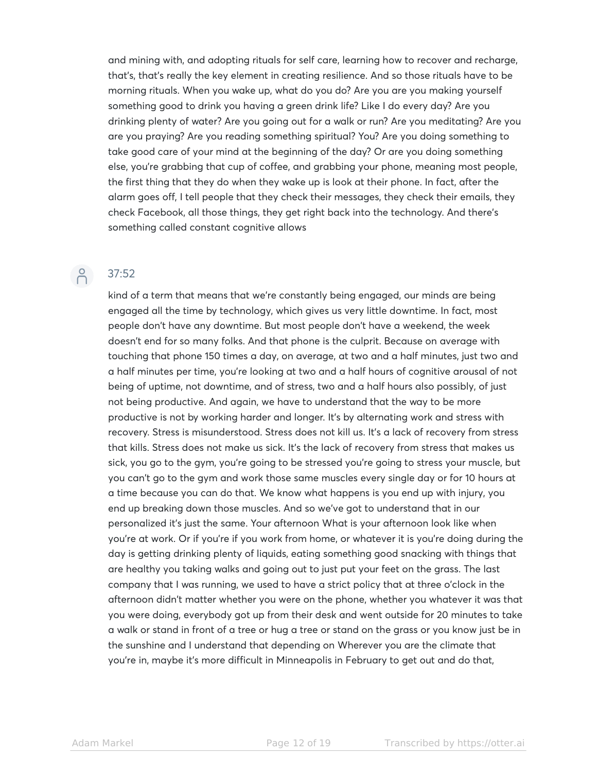and mining with, and adopting rituals for self care, learning how to recover and recharge, that's, that's really the key element in creating resilience. And so those rituals have to be morning rituals. When you wake up, what do you do? Are you are you making yourself something good to drink you having a green drink life? Like I do every day? Are you drinking plenty of water? Are you going out for a walk or run? Are you meditating? Are you are you praying? Are you reading something spiritual? You? Are you doing something to take good care of your mind at the beginning of the day? Or are you doing something else, you're grabbing that cup of coffee, and grabbing your phone, meaning most people, the first thing that they do when they wake up is look at their phone. In fact, after the alarm goes off, I tell people that they check their messages, they check their emails, they check Facebook, all those things, they get right back into the technology. And there's something called constant cognitive allows

# P 37:52

kind of a term that means that we're constantly being engaged, our minds are being engaged all the time by technology, which gives us very little downtime. In fact, most people don't have any downtime. But most people don't have a weekend, the week doesn't end for so many folks. And that phone is the culprit. Because on average with touching that phone 150 times a day, on average, at two and a half minutes, just two and a half minutes per time, you're looking at two and a half hours of cognitive arousal of not being of uptime, not downtime, and of stress, two and a half hours also possibly, of just not being productive. And again, we have to understand that the way to be more productive is not by working harder and longer. It's by alternating work and stress with recovery. Stress is misunderstood. Stress does not kill us. It's a lack of recovery from stress that kills. Stress does not make us sick. It's the lack of recovery from stress that makes us sick, you go to the gym, you're going to be stressed you're going to stress your muscle, but you can't go to the gym and work those same muscles every single day or for 10 hours at a time because you can do that. We know what happens is you end up with injury, you end up breaking down those muscles. And so we've got to understand that in our personalized it's just the same. Your afternoon What is your afternoon look like when you're at work. Or if you're if you work from home, or whatever it is you're doing during the day is getting drinking plenty of liquids, eating something good snacking with things that are healthy you taking walks and going out to just put your feet on the grass. The last company that I was running, we used to have a strict policy that at three o'clock in the afternoon didn't matter whether you were on the phone, whether you whatever it was that you were doing, everybody got up from their desk and went outside for 20 minutes to take a walk or stand in front of a tree or hug a tree or stand on the grass or you know just be in the sunshine and I understand that depending on Wherever you are the climate that you're in, maybe it's more difficult in Minneapolis in February to get out and do that,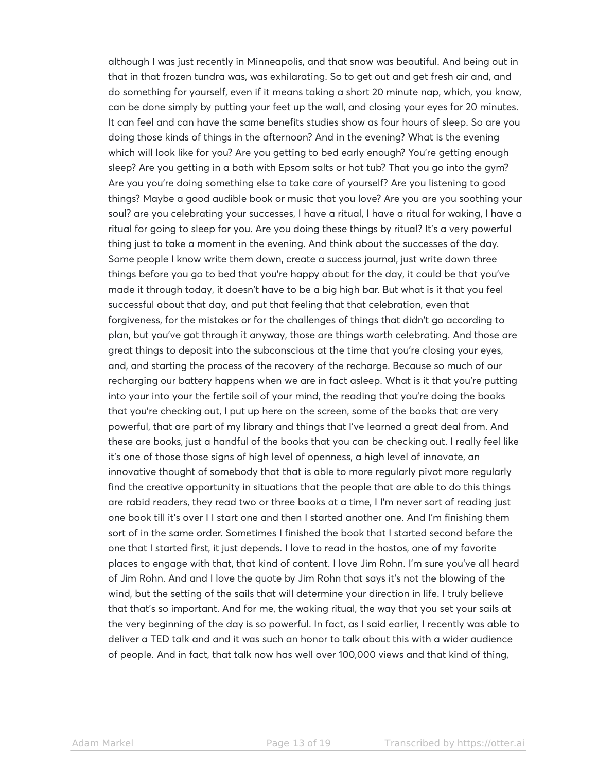although I was just recently in Minneapolis, and that snow was beautiful. And being out in that in that frozen tundra was, was exhilarating. So to get out and get fresh air and, and do something for yourself, even if it means taking a short 20 minute nap, which, you know, can be done simply by putting your feet up the wall, and closing your eyes for 20 minutes. It can feel and can have the same benefits studies show as four hours of sleep. So are you doing those kinds of things in the afternoon? And in the evening? What is the evening which will look like for you? Are you getting to bed early enough? You're getting enough sleep? Are you getting in a bath with Epsom salts or hot tub? That you go into the gym? Are you you're doing something else to take care of yourself? Are you listening to good things? Maybe a good audible book or music that you love? Are you are you soothing your soul? are you celebrating your successes, I have a ritual, I have a ritual for waking, I have a ritual for going to sleep for you. Are you doing these things by ritual? It's a very powerful thing just to take a moment in the evening. And think about the successes of the day. Some people I know write them down, create a success journal, just write down three things before you go to bed that you're happy about for the day, it could be that you've made it through today, it doesn't have to be a big high bar. But what is it that you feel successful about that day, and put that feeling that that celebration, even that forgiveness, for the mistakes or for the challenges of things that didn't go according to plan, but you've got through it anyway, those are things worth celebrating. And those are great things to deposit into the subconscious at the time that you're closing your eyes, and, and starting the process of the recovery of the recharge. Because so much of our recharging our battery happens when we are in fact asleep. What is it that you're putting into your into your the fertile soil of your mind, the reading that you're doing the books that you're checking out, I put up here on the screen, some of the books that are very powerful, that are part of my library and things that I've learned a great deal from. And these are books, just a handful of the books that you can be checking out. I really feel like it's one of those those signs of high level of openness, a high level of innovate, an innovative thought of somebody that that is able to more regularly pivot more regularly find the creative opportunity in situations that the people that are able to do this things are rabid readers, they read two or three books at a time, I I'm never sort of reading just one book till it's over I I start one and then I started another one. And I'm finishing them sort of in the same order. Sometimes I finished the book that I started second before the one that I started first, it just depends. I love to read in the hostos, one of my favorite places to engage with that, that kind of content. I love Jim Rohn. I'm sure you've all heard of Jim Rohn. And and I love the quote by Jim Rohn that says it's not the blowing of the wind, but the setting of the sails that will determine your direction in life. I truly believe that that's so important. And for me, the waking ritual, the way that you set your sails at the very beginning of the day is so powerful. In fact, as I said earlier, I recently was able to deliver a TED talk and and it was such an honor to talk about this with a wider audience of people. And in fact, that talk now has well over 100,000 views and that kind of thing,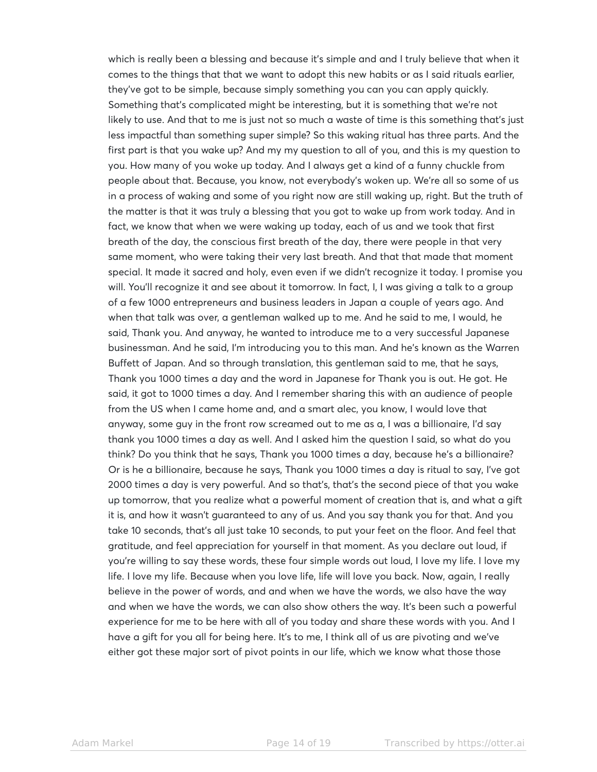which is really been a blessing and because it's simple and and I truly believe that when it comes to the things that that we want to adopt this new habits or as I said rituals earlier, they've got to be simple, because simply something you can you can apply quickly. Something that's complicated might be interesting, but it is something that we're not likely to use. And that to me is just not so much a waste of time is this something that's just less impactful than something super simple? So this waking ritual has three parts. And the first part is that you wake up? And my my question to all of you, and this is my question to you. How many of you woke up today. And I always get a kind of a funny chuckle from people about that. Because, you know, not everybody's woken up. We're all so some of us in a process of waking and some of you right now are still waking up, right. But the truth of the matter is that it was truly a blessing that you got to wake up from work today. And in fact, we know that when we were waking up today, each of us and we took that first breath of the day, the conscious first breath of the day, there were people in that very same moment, who were taking their very last breath. And that that made that moment special. It made it sacred and holy, even even if we didn't recognize it today. I promise you will. You'll recognize it and see about it tomorrow. In fact, I, I was giving a talk to a group of a few 1000 entrepreneurs and business leaders in Japan a couple of years ago. And when that talk was over, a gentleman walked up to me. And he said to me, I would, he said, Thank you. And anyway, he wanted to introduce me to a very successful Japanese businessman. And he said, I'm introducing you to this man. And he's known as the Warren Buffett of Japan. And so through translation, this gentleman said to me, that he says, Thank you 1000 times a day and the word in Japanese for Thank you is out. He got. He said, it got to 1000 times a day. And I remember sharing this with an audience of people from the US when I came home and, and a smart alec, you know, I would love that anyway, some guy in the front row screamed out to me as a, I was a billionaire, I'd say thank you 1000 times a day as well. And I asked him the question I said, so what do you think? Do you think that he says, Thank you 1000 times a day, because he's a billionaire? Or is he a billionaire, because he says, Thank you 1000 times a day is ritual to say, I've got 2000 times a day is very powerful. And so that's, that's the second piece of that you wake up tomorrow, that you realize what a powerful moment of creation that is, and what a gift it is, and how it wasn't guaranteed to any of us. And you say thank you for that. And you take 10 seconds, that's all just take 10 seconds, to put your feet on the floor. And feel that gratitude, and feel appreciation for yourself in that moment. As you declare out loud, if you're willing to say these words, these four simple words out loud, I love my life. I love my life. I love my life. Because when you love life, life will love you back. Now, again, I really believe in the power of words, and and when we have the words, we also have the way and when we have the words, we can also show others the way. It's been such a powerful experience for me to be here with all of you today and share these words with you. And I have a gift for you all for being here. It's to me, I think all of us are pivoting and we've either got these major sort of pivot points in our life, which we know what those those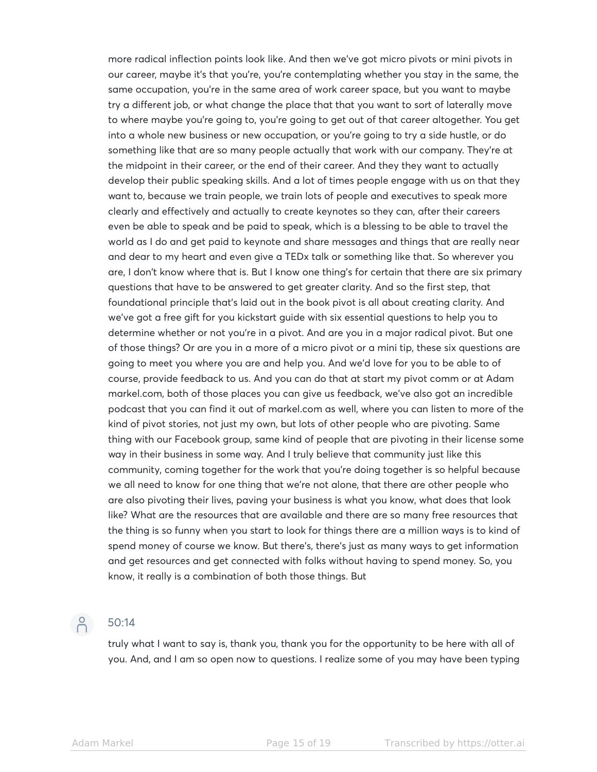more radical inflection points look like. And then we've got micro pivots or mini pivots in our career, maybe it's that you're, you're contemplating whether you stay in the same, the same occupation, you're in the same area of work career space, but you want to maybe try a different job, or what change the place that that you want to sort of laterally move to where maybe you're going to, you're going to get out of that career altogether. You get into a whole new business or new occupation, or you're going to try a side hustle, or do something like that are so many people actually that work with our company. They're at the midpoint in their career, or the end of their career. And they they want to actually develop their public speaking skills. And a lot of times people engage with us on that they want to, because we train people, we train lots of people and executives to speak more clearly and effectively and actually to create keynotes so they can, after their careers even be able to speak and be paid to speak, which is a blessing to be able to travel the world as I do and get paid to keynote and share messages and things that are really near and dear to my heart and even give a TEDx talk or something like that. So wherever you are, I don't know where that is. But I know one thing's for certain that there are six primary questions that have to be answered to get greater clarity. And so the first step, that foundational principle that's laid out in the book pivot is all about creating clarity. And we've got a free gift for you kickstart guide with six essential questions to help you to determine whether or not you're in a pivot. And are you in a major radical pivot. But one of those things? Or are you in a more of a micro pivot or a mini tip, these six questions are going to meet you where you are and help you. And we'd love for you to be able to of course, provide feedback to us. And you can do that at start my pivot comm or at Adam markel.com, both of those places you can give us feedback, we've also got an incredible podcast that you can find it out of markel.com as well, where you can listen to more of the kind of pivot stories, not just my own, but lots of other people who are pivoting. Same thing with our Facebook group, same kind of people that are pivoting in their license some way in their business in some way. And I truly believe that community just like this community, coming together for the work that you're doing together is so helpful because we all need to know for one thing that we're not alone, that there are other people who are also pivoting their lives, paving your business is what you know, what does that look like? What are the resources that are available and there are so many free resources that the thing is so funny when you start to look for things there are a million ways is to kind of spend money of course we know. But there's, there's just as many ways to get information and get resources and get connected with folks without having to spend money. So, you know, it really is a combination of both those things. But

### 50:14

truly what I want to say is, thank you, thank you for the opportunity to be here with all of you. And, and I am so open now to questions. I realize some of you may have been typing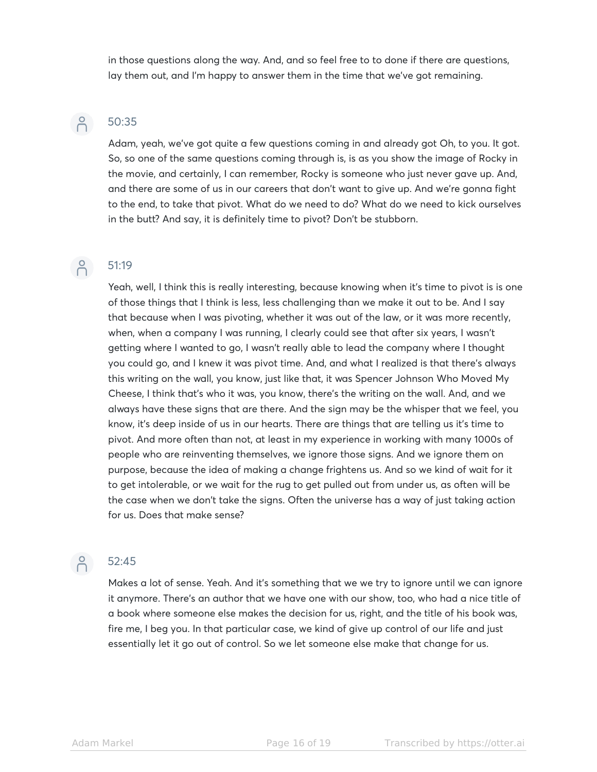in those questions along the way. And, and so feel free to to done if there are questions, lay them out, and I'm happy to answer them in the time that we've got remaining.

# $\beta$

## 50:35

Adam, yeah, we've got quite a few questions coming in and already got Oh, to you. It got. So, so one of the same questions coming through is, is as you show the image of Rocky in the movie, and certainly, I can remember, Rocky is someone who just never gave up. And, and there are some of us in our careers that don't want to give up. And we're gonna fight to the end, to take that pivot. What do we need to do? What do we need to kick ourselves in the butt? And say, it is definitely time to pivot? Don't be stubborn.

## 6 51:19

### Yeah, well, I think this is really interesting, because knowing when it's time to pivot is is one of those things that I think is less, less challenging than we make it out to be. And I say that because when I was pivoting, whether it was out of the law, or it was more recently, when, when a company I was running, I clearly could see that after six years, I wasn't getting where I wanted to go, I wasn't really able to lead the company where I thought you could go, and I knew it was pivot time. And, and what I realized is that there's always this writing on the wall, you know, just like that, it was Spencer Johnson Who Moved My Cheese, I think that's who it was, you know, there's the writing on the wall. And, and we always have these signs that are there. And the sign may be the whisper that we feel, you know, it's deep inside of us in our hearts. There are things that are telling us it's time to pivot. And more often than not, at least in my experience in working with many 1000s of people who are reinventing themselves, we ignore those signs. And we ignore them on purpose, because the idea of making a change frightens us. And so we kind of wait for it to get intolerable, or we wait for the rug to get pulled out from under us, as often will be the case when we don't take the signs. Often the universe has a way of just taking action for us. Does that make sense?

# $\beta$

#### 52:45

Makes a lot of sense. Yeah. And it's something that we we try to ignore until we can ignore it anymore. There's an author that we have one with our show, too, who had a nice title of a book where someone else makes the decision for us, right, and the title of his book was, fire me, I beg you. In that particular case, we kind of give up control of our life and just essentially let it go out of control. So we let someone else make that change for us.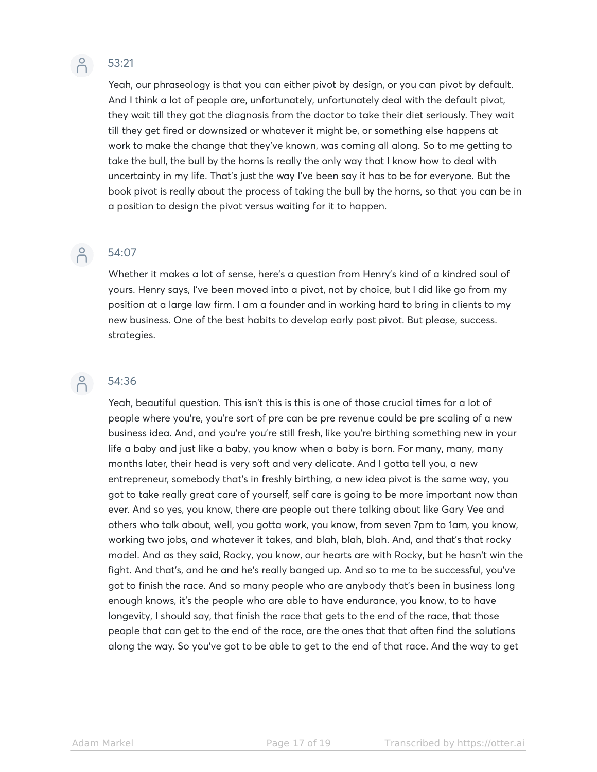# $\beta$

### 53:21

Yeah, our phraseology is that you can either pivot by design, or you can pivot by default. And I think a lot of people are, unfortunately, unfortunately deal with the default pivot, they wait till they got the diagnosis from the doctor to take their diet seriously. They wait till they get fired or downsized or whatever it might be, or something else happens at work to make the change that they've known, was coming all along. So to me getting to take the bull, the bull by the horns is really the only way that I know how to deal with uncertainty in my life. That's just the way I've been say it has to be for everyone. But the book pivot is really about the process of taking the bull by the horns, so that you can be in a position to design the pivot versus waiting for it to happen.

## $\beta$

### 54:07

Whether it makes a lot of sense, here's a question from Henry's kind of a kindred soul of yours. Henry says, I've been moved into a pivot, not by choice, but I did like go from my position at a large law firm. I am a founder and in working hard to bring in clients to my new business. One of the best habits to develop early post pivot. But please, success. strategies.

# $\beta$

#### 54:36

Yeah, beautiful question. This isn't this is this is one of those crucial times for a lot of people where you're, you're sort of pre can be pre revenue could be pre scaling of a new business idea. And, and you're you're still fresh, like you're birthing something new in your life a baby and just like a baby, you know when a baby is born. For many, many, many months later, their head is very soft and very delicate. And I gotta tell you, a new entrepreneur, somebody that's in freshly birthing, a new idea pivot is the same way, you got to take really great care of yourself, self care is going to be more important now than ever. And so yes, you know, there are people out there talking about like Gary Vee and others who talk about, well, you gotta work, you know, from seven 7pm to 1am, you know, working two jobs, and whatever it takes, and blah, blah, blah. And, and that's that rocky model. And as they said, Rocky, you know, our hearts are with Rocky, but he hasn't win the fight. And that's, and he and he's really banged up. And so to me to be successful, you've got to finish the race. And so many people who are anybody that's been in business long enough knows, it's the people who are able to have endurance, you know, to to have longevity, I should say, that finish the race that gets to the end of the race, that those people that can get to the end of the race, are the ones that that often find the solutions along the way. So you've got to be able to get to the end of that race. And the way to get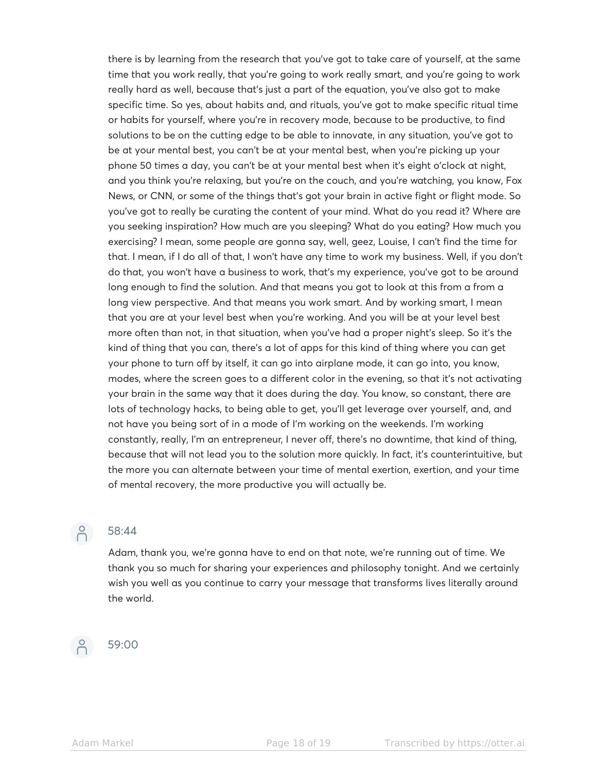there is by learning from the research that you've got to take care of yourself, at the same time that you work really, that you're going to work really smart, and you're going to work really hard as well, because that's just a part of the equation, you've also got to make specific time. So yes, about habits and, and rituals, you've got to make specific ritual time or habits for yourself, where you're in recovery mode, because to be productive, to find solutions to be on the cutting edge to be able to innovate, in any situation, you've got to be at your mental best, you can't be at your mental best, when you're picking up your phone 50 times a day, you can't be at your mental best when it's eight o'clock at night, and you think you're relaxing, but you're on the couch, and you're watching, you know, Fox News, or CNN, or some of the things that's got your brain in active fight or flight mode. So you've got to really be curating the content of your mind. What do you read it? Where are you seeking inspiration? How much are you sleeping? What do you eating? How much you exercising? I mean, some people are gonna say, well, geez, Louise, I can't find the time for that. I mean, if I do all of that, I won't have any time to work my business. Well, if you don't do that, you won't have a business to work, that's my experience, you've got to be around long enough to find the solution. And that means you got to look at this from a from a long view perspective. And that means you work smart. And by working smart, I mean that you are at your level best when you're working. And you will be at your level best more often than not, in that situation, when you've had a proper night's sleep. So it's the kind of thing that you can, there's a lot of apps for this kind of thing where you can get your phone to turn off by itself, it can go into airplane mode, it can go into, you know, modes, where the screen goes to a different color in the evening, so that it's not activating your brain in the same way that it does during the day. You know, so constant, there are lots of technology hacks, to being able to get, you'll get leverage over yourself, and, and not have you being sort of in a mode of I'm working on the weekends. I'm working constantly, really, I'm an entrepreneur, I never off, there's no downtime, that kind of thing, because that will not lead you to the solution more quickly. In fact, it's counterintuitive, but the more you can alternate between your time of mental exertion, exertion, and your time of mental recovery, the more productive you will actually be.



#### 58:44

Adam, thank you, we're gonna have to end on that note, we're running out of time. We thank you so much for sharing your experiences and philosophy tonight. And we certainly wish you well as you continue to carry your message that transforms lives literally around the world.

#### 59:00  $\beta$